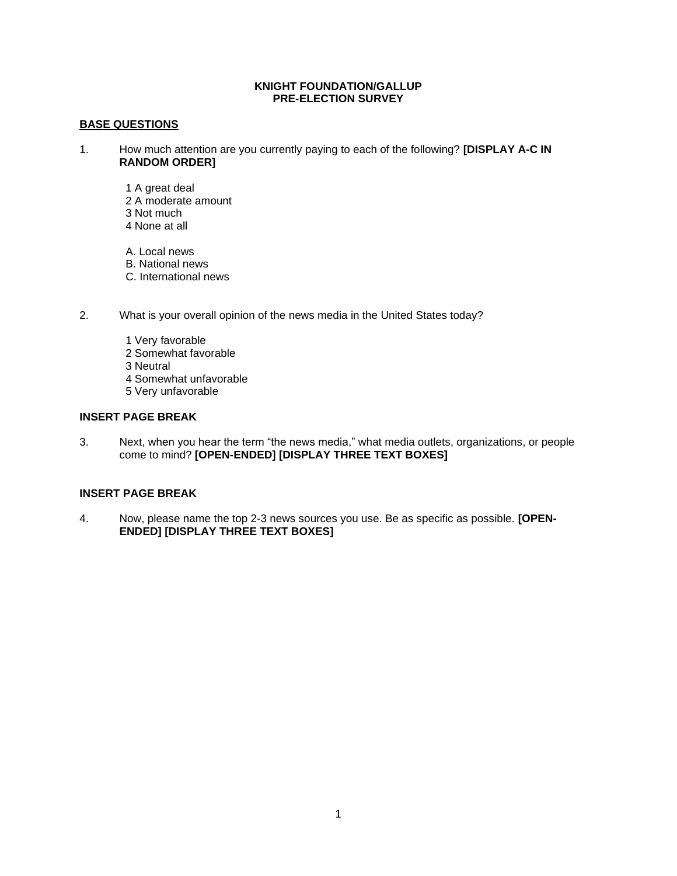#### **KNIGHT FOUNDATION/GALLUP PRE-ELECTION SURVEY**

# **BASE QUESTIONS**

- 1. How much attention are you currently paying to each of the following? **[DISPLAY A-C IN RANDOM ORDER]**
	- 1 A great deal 2 A moderate amount 3 Not much 4 None at all
	- A. Local news B. National news C. International news
- 2. What is your overall opinion of the news media in the United States today?
	- 1 Very favorable 2 Somewhat favorable 3 Neutral 4 Somewhat unfavorable 5 Very unfavorable

# **INSERT PAGE BREAK**

3. Next, when you hear the term "the news media," what media outlets, organizations, or people come to mind? **[OPEN-ENDED] [DISPLAY THREE TEXT BOXES]**

# **INSERT PAGE BREAK**

4. Now, please name the top 2-3 news sources you use. Be as specific as possible. **[OPEN-ENDED] [DISPLAY THREE TEXT BOXES]**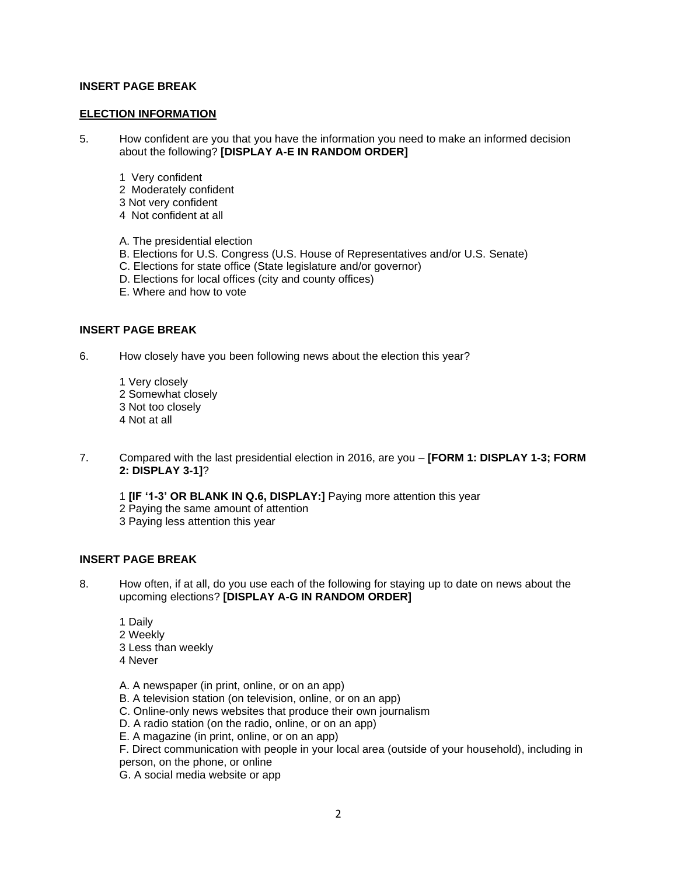#### **ELECTION INFORMATION**

- 5. How confident are you that you have the information you need to make an informed decision about the following? **[DISPLAY A-E IN RANDOM ORDER]**
	- 1 Very confident
	- 2 Moderately confident
	- 3 Not very confident
	- 4 Not confident at all
	- A. The presidential election
	- B. Elections for U.S. Congress (U.S. House of Representatives and/or U.S. Senate)
	- C. Elections for state office (State legislature and/or governor)
	- D. Elections for local offices (city and county offices)
	- E. Where and how to vote

#### **INSERT PAGE BREAK**

6. How closely have you been following news about the election this year?

- 1 Very closely 2 Somewhat closely 3 Not too closely 4 Not at all
- 7. Compared with the last presidential election in 2016, are you **[FORM 1: DISPLAY 1-3; FORM 2: DISPLAY 3-1]**?

1 **[IF '1-3' OR BLANK IN Q.6, DISPLAY:]** Paying more attention this year 2 Paying the same amount of attention 3 Paying less attention this year

# **INSERT PAGE BREAK**

- 8. How often, if at all, do you use each of the following for staying up to date on news about the upcoming elections? **[DISPLAY A-G IN RANDOM ORDER]**
	- 1 Daily 2 Weekly 3 Less than weekly 4 Never
	- A. A newspaper (in print, online, or on an app)
	- B. A television station (on television, online, or on an app)
	- C. Online-only news websites that produce their own journalism
	- D. A radio station (on the radio, online, or on an app)
	- E. A magazine (in print, online, or on an app)

F. Direct communication with people in your local area (outside of your household), including in person, on the phone, or online

G. A social media website or app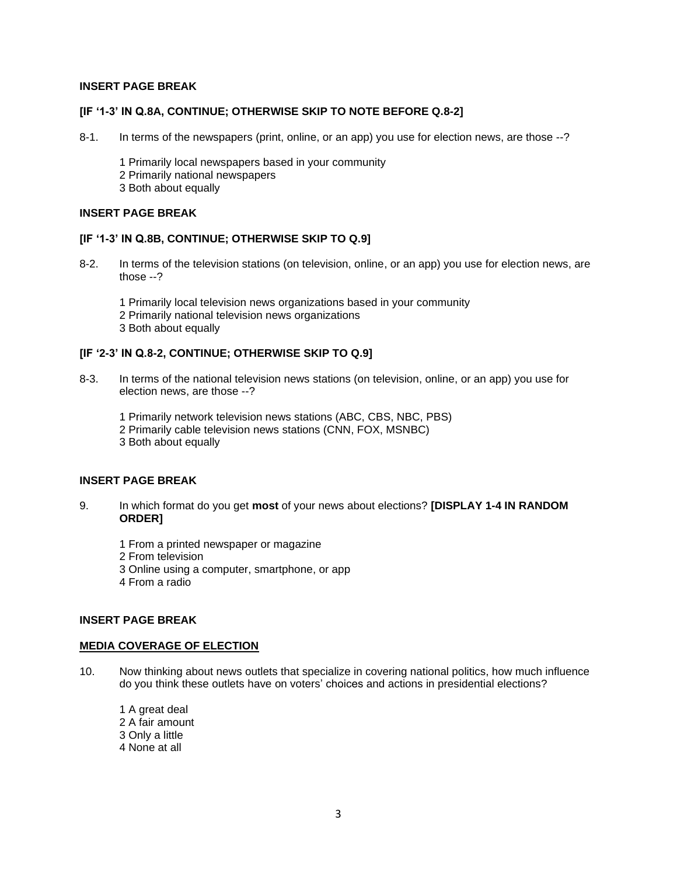#### **[IF '1-3' IN Q.8A, CONTINUE; OTHERWISE SKIP TO NOTE BEFORE Q.8-2]**

- 8-1. In terms of the newspapers (print, online, or an app) you use for election news, are those --?
	- 1 Primarily local newspapers based in your community
	- 2 Primarily national newspapers
	- 3 Both about equally

#### **INSERT PAGE BREAK**

#### **[IF '1-3' IN Q.8B, CONTINUE; OTHERWISE SKIP TO Q.9]**

8-2. In terms of the television stations (on television, online, or an app) you use for election news, are those --?

1 Primarily local television news organizations based in your community 2 Primarily national television news organizations 3 Both about equally

# **[IF '2-3' IN Q.8-2, CONTINUE; OTHERWISE SKIP TO Q.9]**

8-3. In terms of the national television news stations (on television, online, or an app) you use for election news, are those --?

1 Primarily network television news stations (ABC, CBS, NBC, PBS) 2 Primarily cable television news stations (CNN, FOX, MSNBC) 3 Both about equally

# **INSERT PAGE BREAK**

- 9. In which format do you get **most** of your news about elections? **[DISPLAY 1-4 IN RANDOM ORDER]**
	- 1 From a printed newspaper or magazine
	- 2 From television
	- 3 Online using a computer, smartphone, or app
	- 4 From a radio

# **INSERT PAGE BREAK**

## **MEDIA COVERAGE OF ELECTION**

- 10. Now thinking about news outlets that specialize in covering national politics, how much influence do you think these outlets have on voters' choices and actions in presidential elections?
	- 1 A great deal 2 A fair amount 3 Only a little 4 None at all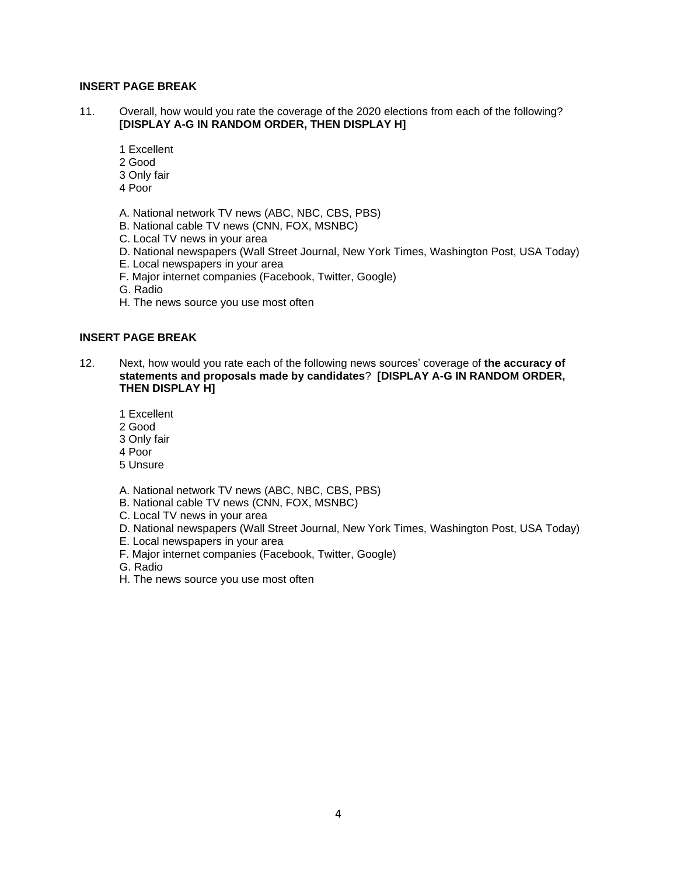- 11. Overall, how would you rate the coverage of the 2020 elections from each of the following? **[DISPLAY A-G IN RANDOM ORDER, THEN DISPLAY H]**
	- 1 Excellent
	- 2 Good
	- 3 Only fair
	- 4 Poor
	- A. National network TV news (ABC, NBC, CBS, PBS)
	- B. National cable TV news (CNN, FOX, MSNBC)
	- C. Local TV news in your area
	- D. National newspapers (Wall Street Journal, New York Times, Washington Post, USA Today)
	- E. Local newspapers in your area
	- F. Major internet companies (Facebook, Twitter, Google)
	- G. Radio
	- H. The news source you use most often

## **INSERT PAGE BREAK**

- 12. Next, how would you rate each of the following news sources' coverage of **the accuracy of statements and proposals made by candidates**? **[DISPLAY A-G IN RANDOM ORDER, THEN DISPLAY H]**
	- 1 Excellent
	- 2 Good
	- 3 Only fair
	- 4 Poor
	- 5 Unsure
	- A. National network TV news (ABC, NBC, CBS, PBS)
	- B. National cable TV news (CNN, FOX, MSNBC)
	- C. Local TV news in your area
	- D. National newspapers (Wall Street Journal, New York Times, Washington Post, USA Today)
	- E. Local newspapers in your area
	- F. Major internet companies (Facebook, Twitter, Google)
	- G. Radio
	- H. The news source you use most often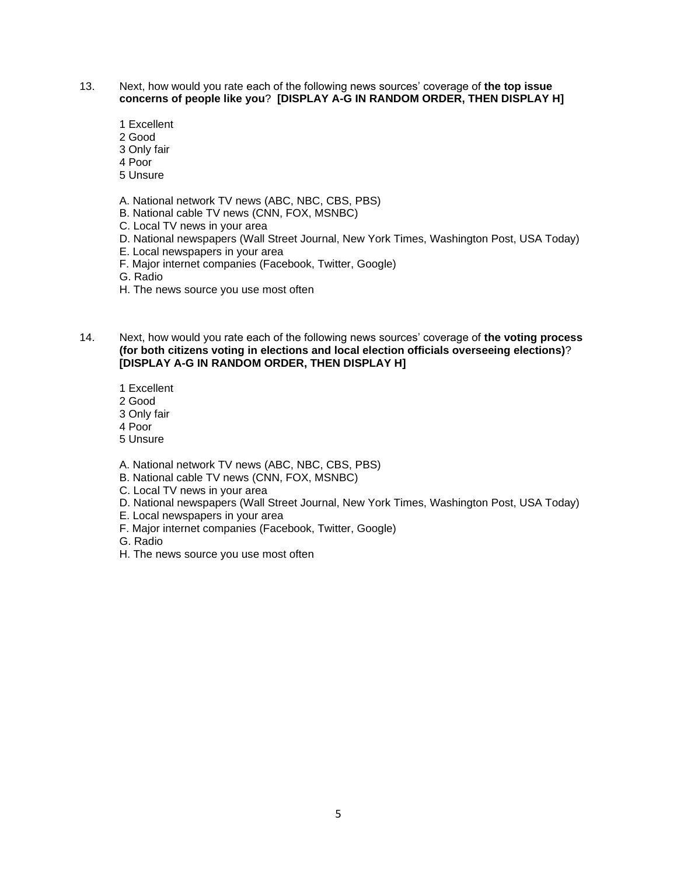- 13. Next, how would you rate each of the following news sources' coverage of **the top issue concerns of people like you**? **[DISPLAY A-G IN RANDOM ORDER, THEN DISPLAY H]**
	- 1 Excellent
	- 2 Good
	- 3 Only fair
	- 4 Poor
	- 5 Unsure
	- A. National network TV news (ABC, NBC, CBS, PBS)
	- B. National cable TV news (CNN, FOX, MSNBC)
	- C. Local TV news in your area
	- D. National newspapers (Wall Street Journal, New York Times, Washington Post, USA Today)
	- E. Local newspapers in your area
	- F. Major internet companies (Facebook, Twitter, Google)
	- G. Radio
	- H. The news source you use most often
- 14. Next, how would you rate each of the following news sources' coverage of **the voting process (for both citizens voting in elections and local election officials overseeing elections)**? **[DISPLAY A-G IN RANDOM ORDER, THEN DISPLAY H]**
	- 1 Excellent
	- 2 Good
	- 3 Only fair
	- 4 Poor
	- 5 Unsure
	- A. National network TV news (ABC, NBC, CBS, PBS)
	- B. National cable TV news (CNN, FOX, MSNBC)
	- C. Local TV news in your area
	- D. National newspapers (Wall Street Journal, New York Times, Washington Post, USA Today)
	- E. Local newspapers in your area
	- F. Major internet companies (Facebook, Twitter, Google)
	- G. Radio
	- H. The news source you use most often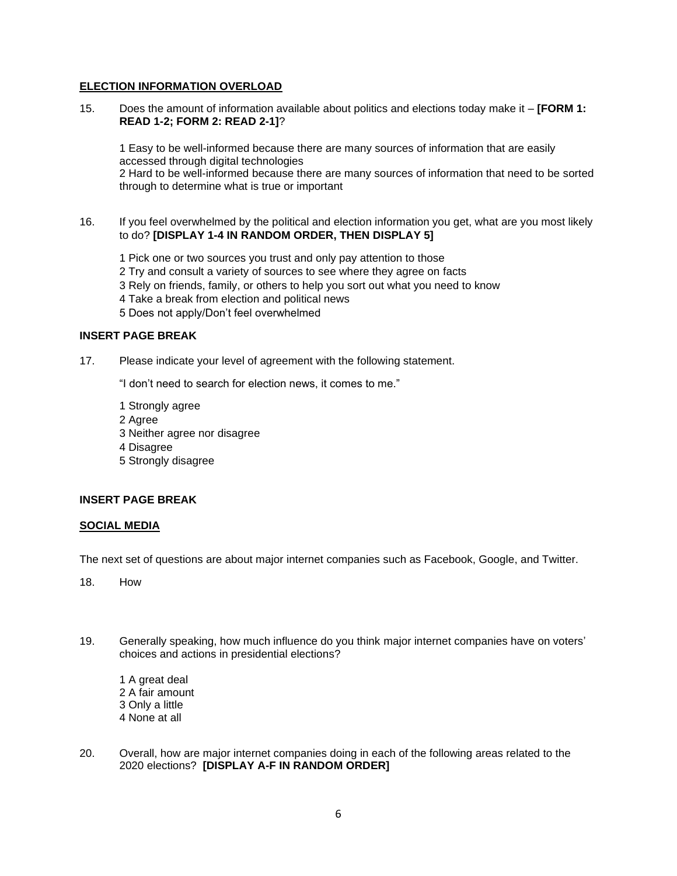## **ELECTION INFORMATION OVERLOAD**

15. Does the amount of information available about politics and elections today make it – **[FORM 1: READ 1-2; FORM 2: READ 2-1]**?

1 Easy to be well-informed because there are many sources of information that are easily accessed through digital technologies 2 Hard to be well-informed because there are many sources of information that need to be sorted through to determine what is true or important

16. If you feel overwhelmed by the political and election information you get, what are you most likely to do? **[DISPLAY 1-4 IN RANDOM ORDER, THEN DISPLAY 5]**

 Pick one or two sources you trust and only pay attention to those Try and consult a variety of sources to see where they agree on facts Rely on friends, family, or others to help you sort out what you need to know Take a break from election and political news 5 Does not apply/Don't feel overwhelmed

# **INSERT PAGE BREAK**

17. Please indicate your level of agreement with the following statement.

"I don't need to search for election news, it comes to me."

- 1 Strongly agree
- 2 Agree
- 3 Neither agree nor disagree
- 4 Disagree
- 5 Strongly disagree

## **INSERT PAGE BREAK**

## **SOCIAL MEDIA**

The next set of questions are about major internet companies such as Facebook, Google, and Twitter.

18. How

- 19. Generally speaking, how much influence do you think major internet companies have on voters' choices and actions in presidential elections?
	- 1 A great deal 2 A fair amount 3 Only a little 4 None at all
- 20. Overall, how are major internet companies doing in each of the following areas related to the 2020 elections? **[DISPLAY A-F IN RANDOM ORDER]**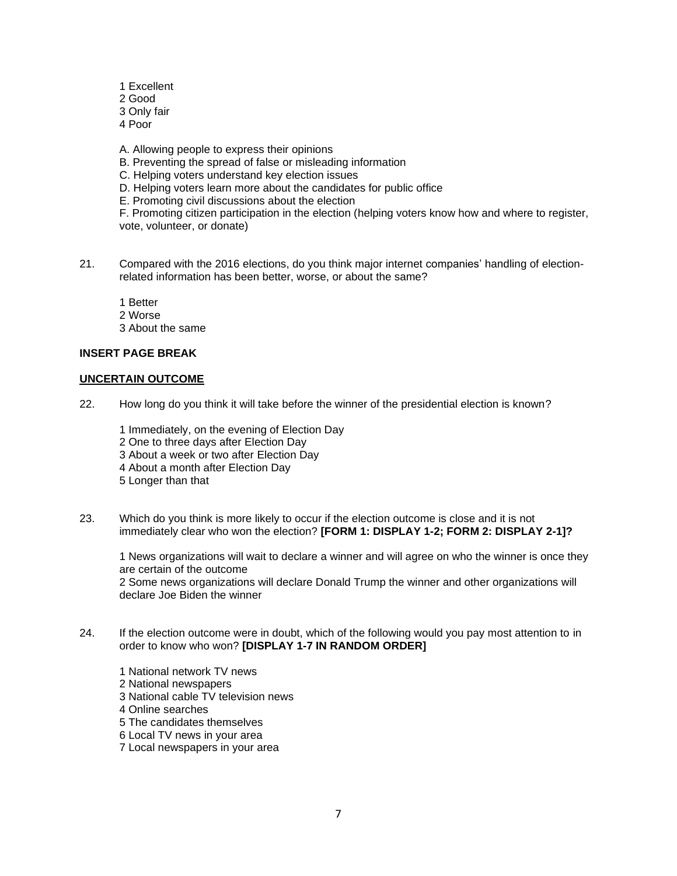- 1 Excellent
- 2 Good
- 3 Only fair
- 4 Poor
- A. Allowing people to express their opinions
- B. Preventing the spread of false or misleading information
- C. Helping voters understand key election issues
- D. Helping voters learn more about the candidates for public office
- E. Promoting civil discussions about the election

F. Promoting citizen participation in the election (helping voters know how and where to register, vote, volunteer, or donate)

21. Compared with the 2016 elections, do you think major internet companies' handling of electionrelated information has been better, worse, or about the same?

1 Better

- 2 Worse
- 3 About the same

# **INSERT PAGE BREAK**

## **UNCERTAIN OUTCOME**

22. How long do you think it will take before the winner of the presidential election is known?

1 Immediately, on the evening of Election Day 2 One to three days after Election Day 3 About a week or two after Election Day 4 About a month after Election Day 5 Longer than that

23. Which do you think is more likely to occur if the election outcome is close and it is not immediately clear who won the election? **[FORM 1: DISPLAY 1-2; FORM 2: DISPLAY 2-1]?**

1 News organizations will wait to declare a winner and will agree on who the winner is once they are certain of the outcome 2 Some news organizations will declare Donald Trump the winner and other organizations will declare Joe Biden the winner

24. If the election outcome were in doubt, which of the following would you pay most attention to in order to know who won? **[DISPLAY 1-7 IN RANDOM ORDER]**

1 National network TV news 2 National newspapers 3 National cable TV television news 4 Online searches 5 The candidates themselves 6 Local TV news in your area 7 Local newspapers in your area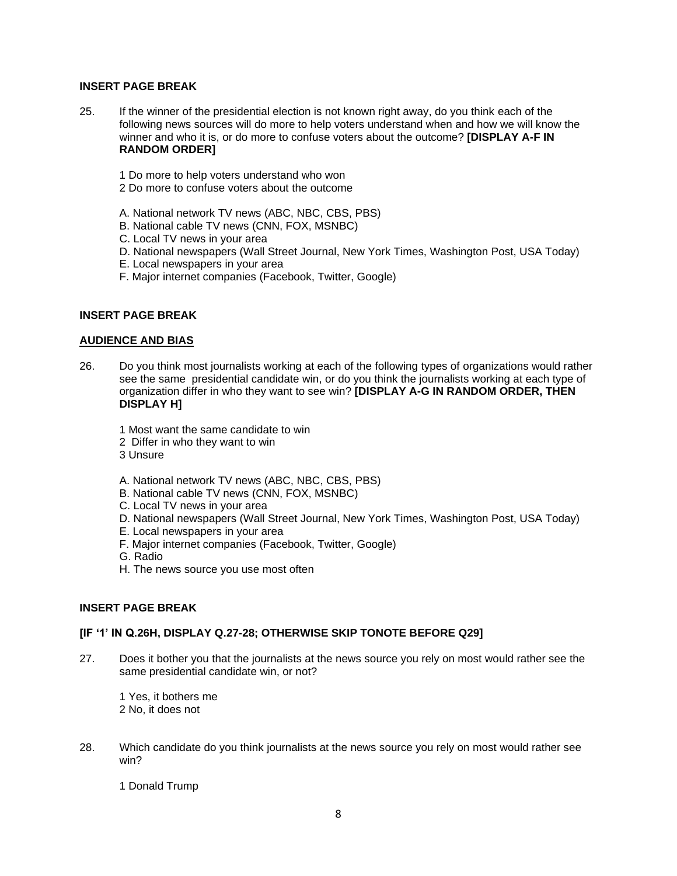- 25. If the winner of the presidential election is not known right away, do you think each of the following news sources will do more to help voters understand when and how we will know the winner and who it is, or do more to confuse voters about the outcome? **[DISPLAY A-F IN RANDOM ORDER]**
	- 1 Do more to help voters understand who won
	- 2 Do more to confuse voters about the outcome
	- A. National network TV news (ABC, NBC, CBS, PBS)
	- B. National cable TV news (CNN, FOX, MSNBC)
	- C. Local TV news in your area
	- D. National newspapers (Wall Street Journal, New York Times, Washington Post, USA Today)
	- E. Local newspapers in your area
	- F. Major internet companies (Facebook, Twitter, Google)

#### **INSERT PAGE BREAK**

## **AUDIENCE AND BIAS**

- 26. Do you think most journalists working at each of the following types of organizations would rather see the same presidential candidate win, or do you think the journalists working at each type of organization differ in who they want to see win? **[DISPLAY A-G IN RANDOM ORDER, THEN DISPLAY H]**
	- 1 Most want the same candidate to win
	- 2 Differ in who they want to win
	- 3 Unsure
	- A. National network TV news (ABC, NBC, CBS, PBS)
	- B. National cable TV news (CNN, FOX, MSNBC)
	- C. Local TV news in your area
	- D. National newspapers (Wall Street Journal, New York Times, Washington Post, USA Today)
	- E. Local newspapers in your area
	- F. Major internet companies (Facebook, Twitter, Google)
	- G. Radio
	- H. The news source you use most often

#### **INSERT PAGE BREAK**

#### **[IF '1' IN Q.26H, DISPLAY Q.27-28; OTHERWISE SKIP TONOTE BEFORE Q29]**

27. Does it bother you that the journalists at the news source you rely on most would rather see the same presidential candidate win, or not?

1 Yes, it bothers me 2 No, it does not

28. Which candidate do you think journalists at the news source you rely on most would rather see win?

1 Donald Trump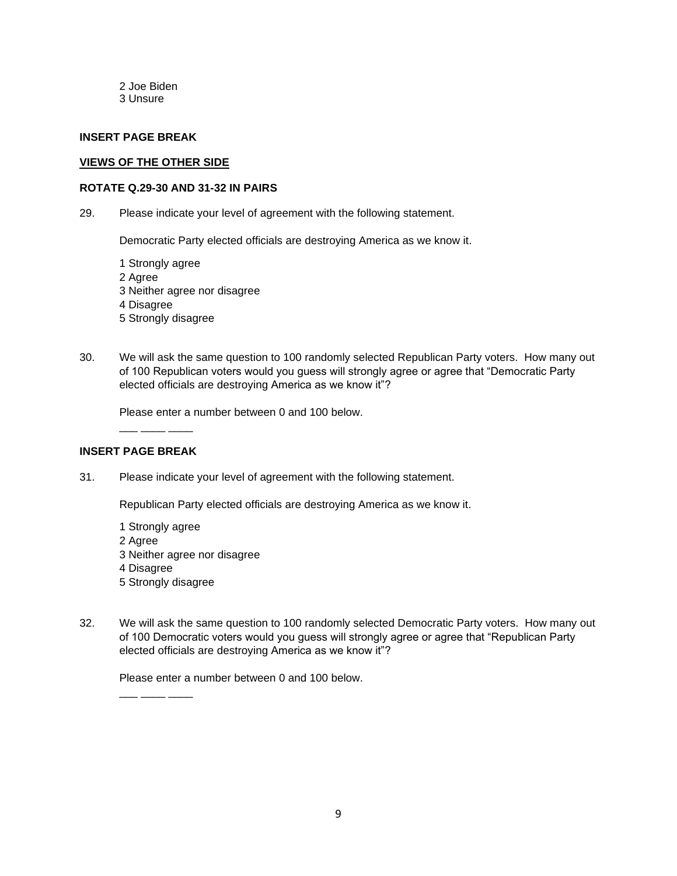2 Joe Biden 3 Unsure

#### **INSERT PAGE BREAK**

#### **VIEWS OF THE OTHER SIDE**

#### **ROTATE Q.29-30 AND 31-32 IN PAIRS**

29. Please indicate your level of agreement with the following statement.

Democratic Party elected officials are destroying America as we know it.

- 1 Strongly agree 2 Agree 3 Neither agree nor disagree 4 Disagree 5 Strongly disagree
- 30. We will ask the same question to 100 randomly selected Republican Party voters. How many out of 100 Republican voters would you guess will strongly agree or agree that "Democratic Party elected officials are destroying America as we know it"?

Please enter a number between 0 and 100 below.

# **INSERT PAGE BREAK**

\_\_\_ \_\_\_\_ \_\_\_\_

31. Please indicate your level of agreement with the following statement.

Republican Party elected officials are destroying America as we know it.

- 1 Strongly agree 2 Agree 3 Neither agree nor disagree 4 Disagree 5 Strongly disagree
- 32. We will ask the same question to 100 randomly selected Democratic Party voters. How many out of 100 Democratic voters would you guess will strongly agree or agree that "Republican Party elected officials are destroying America as we know it"?

Please enter a number between 0 and 100 below.

\_\_\_ \_\_\_\_ \_\_\_\_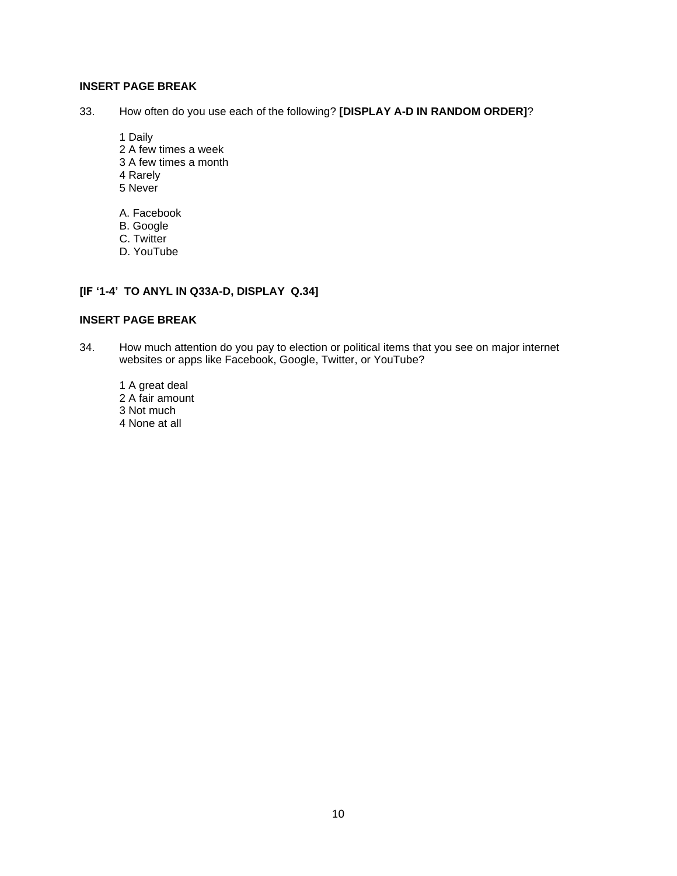33. How often do you use each of the following? **[DISPLAY A-D IN RANDOM ORDER]**?

- 1 Daily 2 A few times a week 3 A few times a month 4 Rarely
- 5 Never
- A. Facebook
- B. Google
- C. Twitter
- D. YouTube

# **[IF '1-4' TO ANYL IN Q33A-D, DISPLAY Q.34]**

#### **INSERT PAGE BREAK**

- 34. How much attention do you pay to election or political items that you see on major internet websites or apps like Facebook, Google, Twitter, or YouTube?
	- 1 A great deal 2 A fair amount 3 Not much 4 None at all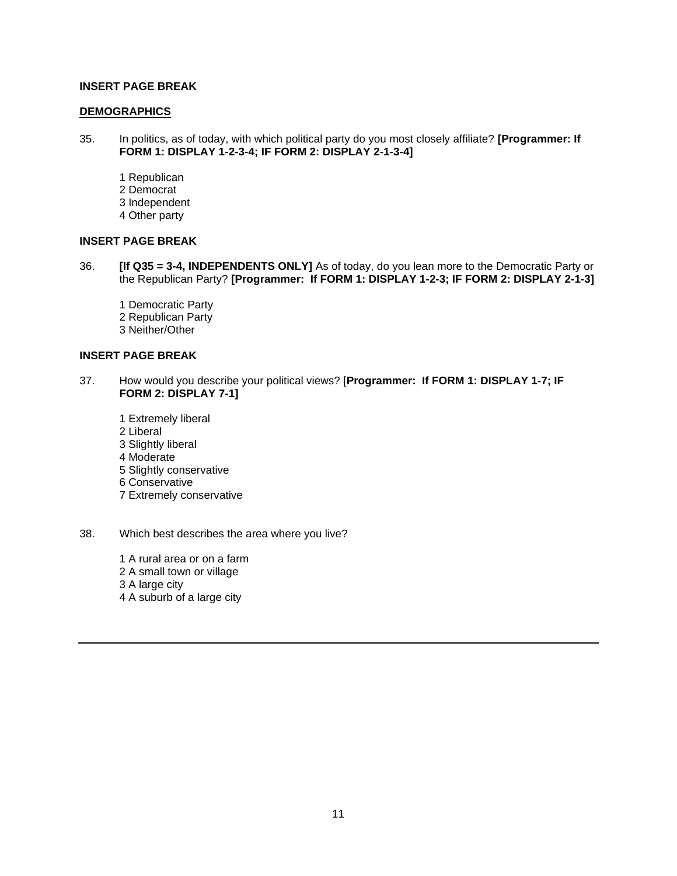#### **DEMOGRAPHICS**

- 35. In politics, as of today, with which political party do you most closely affiliate? **[Programmer: If FORM 1: DISPLAY 1-2-3-4; IF FORM 2: DISPLAY 2-1-3-4]**
	- 1 Republican 2 Democrat 3 Independent 4 Other party

#### **INSERT PAGE BREAK**

- 36. **[If Q35 = 3-4, INDEPENDENTS ONLY]** As of today, do you lean more to the Democratic Party or the Republican Party? **[Programmer: If FORM 1: DISPLAY 1-2-3; IF FORM 2: DISPLAY 2-1-3]**
	- 1 Democratic Party 2 Republican Party 3 Neither/Other

## **INSERT PAGE BREAK**

- 37. How would you describe your political views? [**Programmer: If FORM 1: DISPLAY 1-7; IF FORM 2: DISPLAY 7-1]**
	- 1 Extremely liberal 2 Liberal 3 Slightly liberal 4 Moderate 5 Slightly conservative 6 Conservative 7 Extremely conservative
- 38. Which best describes the area where you live?
	- 1 A rural area or on a farm 2 A small town or village 3 A large city 4 A suburb of a large city